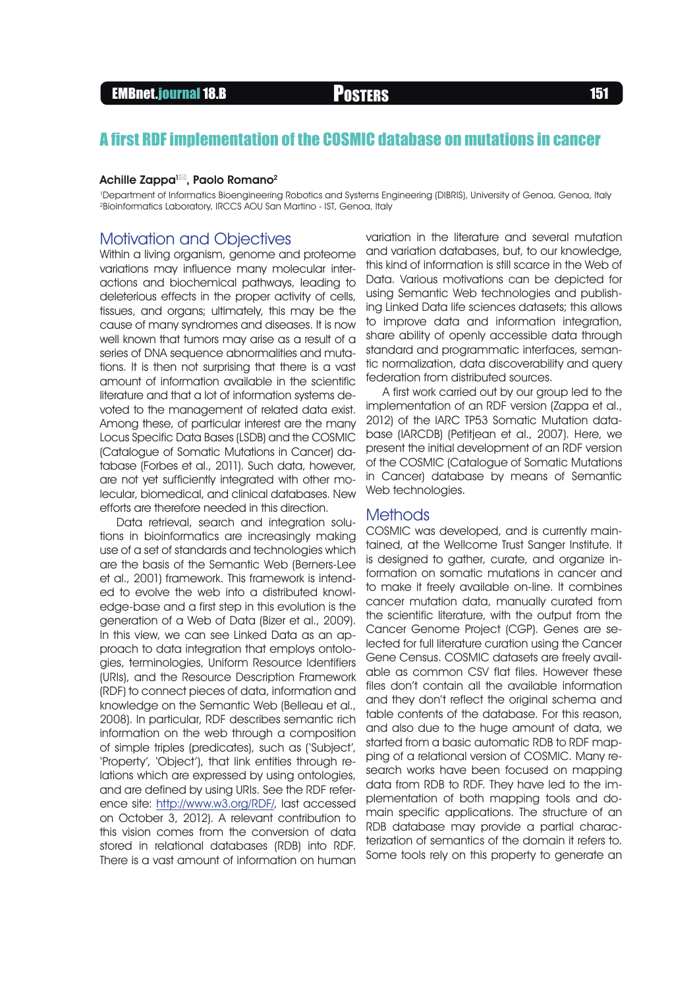# EMBnet.journal 18.B **Posters 151**

# A first RDF implementation of the COSMIC database on mutations in cancer

#### Achille Zappa<sup>1 $\boxtimes$ </sup>, Paolo Romano<sup>2</sup>

1 Department of Informatics Bioengineering Robotics and Systems Engineering (DIBRIS), University of Genoa, Genoa, Italy 2Bioinformatics Laboratory, IRCCS AOU San Martino - IST, Genoa, Italy

## Motivation and Objectives

Within a living organism, genome and proteome variations may influence many molecular interactions and biochemical pathways, leading to deleterious effects in the proper activity of cells, tissues, and organs; ultimately, this may be the cause of many syndromes and diseases. It is now well known that tumors may arise as a result of a series of DNA sequence abnormalities and mutations. It is then not surprising that there is a vast amount of information available in the scientific literature and that a lot of information systems devoted to the management of related data exist. Among these, of particular interest are the many Locus Specific Data Bases (LSDB) and the COSMIC (Catalogue of Somatic Mutations in Cancer) database (Forbes et al., 2011). Such data, however, are not yet sufficiently integrated with other molecular, biomedical, and clinical databases. New efforts are therefore needed in this direction.

Data retrieval, search and integration solutions in bioinformatics are increasingly making use of a set of standards and technologies which are the basis of the Semantic Web (Berners-Lee et al., 2001) framework. This framework is intended to evolve the web into a distributed knowledge-base and a first step in this evolution is the generation of a Web of Data (Bizer et al., 2009). In this view, we can see Linked Data as an approach to data integration that employs ontologies, terminologies, Uniform Resource Identifiers (URIs), and the Resource Description Framework (RDF) to connect pieces of data, information and knowledge on the Semantic Web (Belleau et al., 2008). In particular, RDF describes semantic rich information on the web through a composition of simple triples (predicates), such as ('Subject', 'Property', 'Object'), that link entities through relations which are expressed by using ontologies, and are defined by using URIs. See the RDF reference site: <http://www.w3.org/RDF/>, last accessed on October 3, 2012). A relevant contribution to this vision comes from the conversion of data stored in relational databases (RDB) into RDF. There is a vast amount of information on human

variation in the literature and several mutation and variation databases, but, to our knowledge, this kind of information is still scarce in the Web of Data. Various motivations can be depicted for using Semantic Web technologies and publishing Linked Data life sciences datasets; this allows to improve data and information integration, share ability of openly accessible data through standard and programmatic interfaces, semantic normalization, data discoverability and query federation from distributed sources.

A first work carried out by our group led to the implementation of an RDF version (Zappa et al., 2012) of the IARC TP53 Somatic Mutation database (IARCDB) (Petitjean et al., 2007). Here, we present the initial development of an RDF version of the COSMIC (Catalogue of Somatic Mutations in Cancer) database by means of Semantic Web technologies.

### **Methods**

COSMIC was developed, and is currently maintained, at the Wellcome Trust Sanger Institute. It is designed to gather, curate, and organize information on somatic mutations in cancer and to make it freely available on-line. It combines cancer mutation data, manually curated from the scientific literature, with the output from the Cancer Genome Project (CGP). Genes are selected for full literature curation using the Cancer Gene Census. COSMIC datasets are freely available as common CSV flat files. However these files don't contain all the available information and they don't reflect the original schema and table contents of the database. For this reason, and also due to the huge amount of data, we started from a basic automatic RDB to RDF mapping of a relational version of COSMIC. Many research works have been focused on mapping data from RDB to RDF. They have led to the implementation of both mapping tools and domain specific applications. The structure of an RDB database may provide a partial characterization of semantics of the domain it refers to. Some tools rely on this property to generate an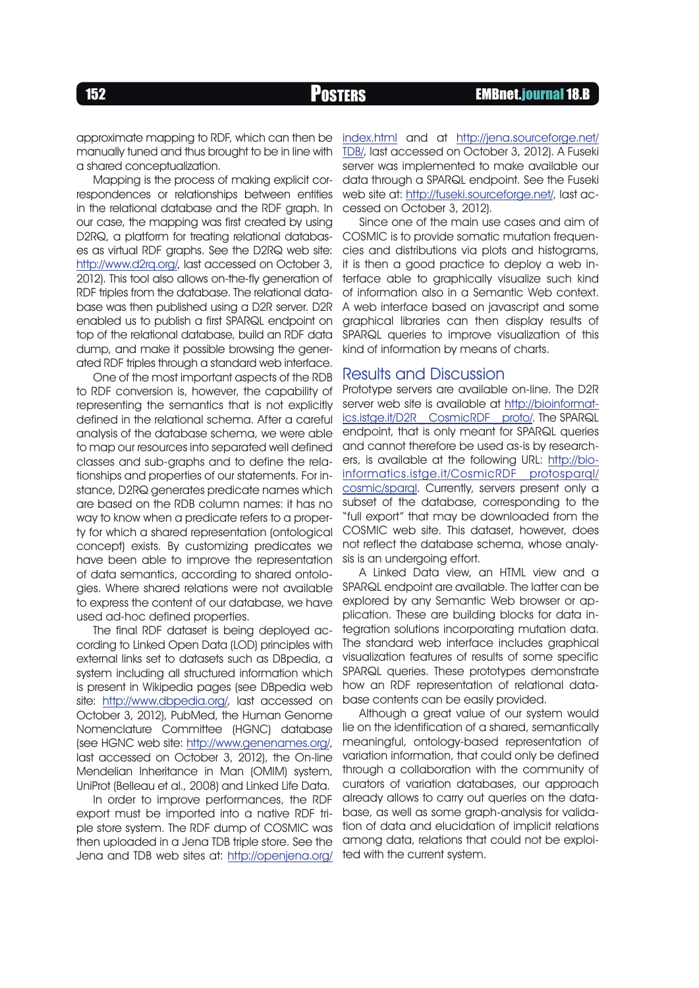approximate mapping to RDF, which can then be manually tuned and thus brought to be in line with a shared conceptualization.

Mapping is the process of making explicit correspondences or relationships between entities in the relational database and the RDF graph. In our case, the mapping was first created by using D2RQ, a platform for treating relational databases as virtual RDF graphs. See the D2RQ web site: [http://www.d2rq.org/,](http://www.d2rq.org/ ) last accessed on October 3, 2012). This tool also allows on-the-fly generation of RDF triples from the database. The relational database was then published using a D2R server. D2R enabled us to publish a first SPARQL endpoint on top of the relational database, build an RDF data dump, and make it possible browsing the generated RDF triples through a standard web interface.

One of the most important aspects of the RDB to RDF conversion is, however, the capability of representing the semantics that is not explicitly defined in the relational schema. After a careful analysis of the database schema, we were able to map our resources into separated well defined classes and sub-graphs and to define the relationships and properties of our statements. For instance, D2RQ generates predicate names which are based on the RDB column names: it has no way to know when a predicate refers to a property for which a shared representation (ontological concept) exists. By customizing predicates we have been able to improve the representation of data semantics, according to shared ontologies. Where shared relations were not available to express the content of our database, we have used ad-hoc defined properties.

The final RDF dataset is being deployed according to Linked Open Data (LOD) principles with external links set to datasets such as DBpedia, a system including all structured information which is present in Wikipedia pages (see DBpedia web site: <http://www.dbpedia.org/>, last accessed on October 3, 2012), PubMed, the Human Genome Nomenclature Committee (HGNC) database (see HGNC web site: [http://www.genenames.org/,](http://www.genenames.org/) last accessed on October 3, 2012), the On-line Mendelian Inheritance in Man (OMIM) system, UniProt (Belleau et al., 2008) and Linked Life Data.

In order to improve performances, the RDF export must be imported into a native RDF triple store system. The RDF dump of COSMIC was then uploaded in a Jena TDB triple store. See the Jena and TDB web sites at: [http://openjena.org/](http://openjena.org/index.html) [index.html](http://openjena.org/index.html) and at [http://jena.sourceforge.net/](http://jena.sourceforge.net/TDB/) [TDB/,](http://jena.sourceforge.net/TDB/) last accessed on October 3, 2012). A Fuseki server was implemented to make available our data through a SPARQL endpoint. See the Fuseki web site at:<http://fuseki.sourceforge.net/>, last accessed on October 3, 2012).

Since one of the main use cases and aim of COSMIC is to provide somatic mutation frequencies and distributions via plots and histograms, it is then a good practice to deploy a web interface able to graphically visualize such kind of information also in a Semantic Web context. A web interface based on javascript and some graphical libraries can then display results of SPARQL queries to improve visualization of this kind of information by means of charts.

## Results and Discussion

Prototype servers are available on-line. The D2R server web site is available at [http://bioinformat](http://bioinformatics.istge.it/D2R_CosmicRDF_proto/)[ics.istge.it/D2R \\_ CosmicRDF \\_ proto/](http://bioinformatics.istge.it/D2R_CosmicRDF_proto/). The SPARQL endpoint, that is only meant for SPARQL queries and cannot therefore be used as-is by researchers, is available at the following URL: [http://bio](http://bioinformatics.istge.it/CosmicRDF_protosparql/cosmic/sparql )[informatics.istge.it/CosmicRDF \\_ protosparql/](http://bioinformatics.istge.it/CosmicRDF_protosparql/cosmic/sparql ) [cosmic/sparql](http://bioinformatics.istge.it/CosmicRDF_protosparql/cosmic/sparql ). Currently, servers present only a subset of the database, corresponding to the "full export" that may be downloaded from the COSMIC web site. This dataset, however, does not reflect the database schema, whose analysis is an undergoing effort.

A Linked Data view, an HTML view and a SPARQL endpoint are available. The latter can be explored by any Semantic Web browser or application. These are building blocks for data integration solutions incorporating mutation data. The standard web interface includes graphical visualization features of results of some specific SPARQL queries. These prototypes demonstrate how an RDF representation of relational database contents can be easily provided.

Although a great value of our system would lie on the identification of a shared, semantically meaningful, ontology-based representation of variation information, that could only be defined through a collaboration with the community of curators of variation databases, our approach already allows to carry out queries on the database, as well as some graph-analysis for validation of data and elucidation of implicit relations among data, relations that could not be exploited with the current system.